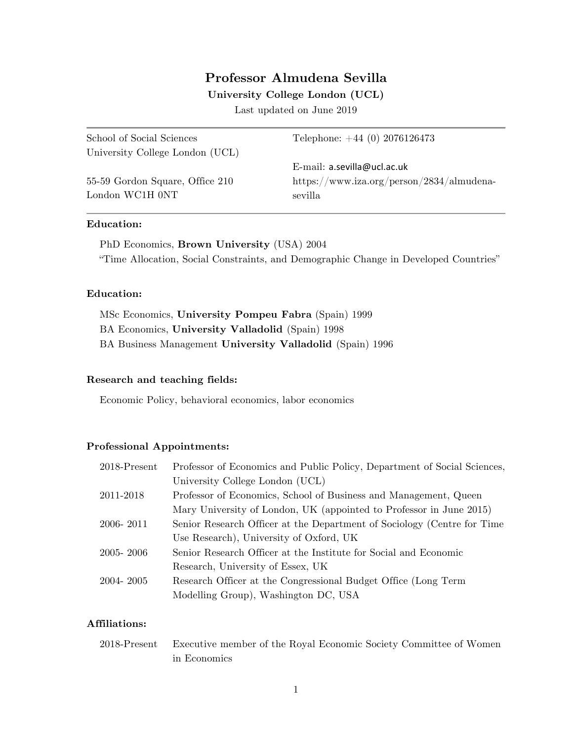# **Professor Almudena Sevilla**

### **University College London (UCL)**

Last updated on June 2019

| School of Social Sciences       | Telephone: $+44(0)$ 2076126473            |
|---------------------------------|-------------------------------------------|
| University College London (UCL) |                                           |
|                                 | E-mail: $a.sevilla@ucl.ac.uk$             |
| 55-59 Gordon Square, Office 210 | https://www.iza.org/person/2834/almudena- |
| London WC1H 0NT                 | sevilla                                   |
|                                 |                                           |

### **Education:**

PhD Economics, **Brown University** (USA) 2004 "Time Allocation, Social Constraints, and Demographic Change in Developed Countries"

### **Education:**

MSc Economics, **University Pompeu Fabra** (Spain) 1999 BA Economics, **University Valladolid** (Spain) 1998 BA Business Management **University Valladolid** (Spain) 1996

### **Research and teaching fields:**

Economic Policy, behavioral economics, labor economics

### **Professional Appointments:**

| $2018$ -Present | Professor of Economics and Public Policy, Department of Social Sciences, |
|-----------------|--------------------------------------------------------------------------|
|                 | University College London (UCL)                                          |
| 2011-2018       | Professor of Economics, School of Business and Management, Queen         |
|                 | Mary University of London, UK (appointed to Professor in June 2015)      |
| 2006- 2011      | Senior Research Officer at the Department of Sociology (Centre for Time  |
|                 | Use Research), University of Oxford, UK                                  |
| 2005- 2006      | Senior Research Officer at the Institute for Social and Economic         |
|                 | Research, University of Essex, UK                                        |
| 2004- 2005      | Research Officer at the Congressional Budget Office (Long Term           |
|                 | Modelling Group), Washington DC, USA                                     |

## **Affiliations:**

2018-Present Executive member of the Royal Economic Society Committee of Women in Economics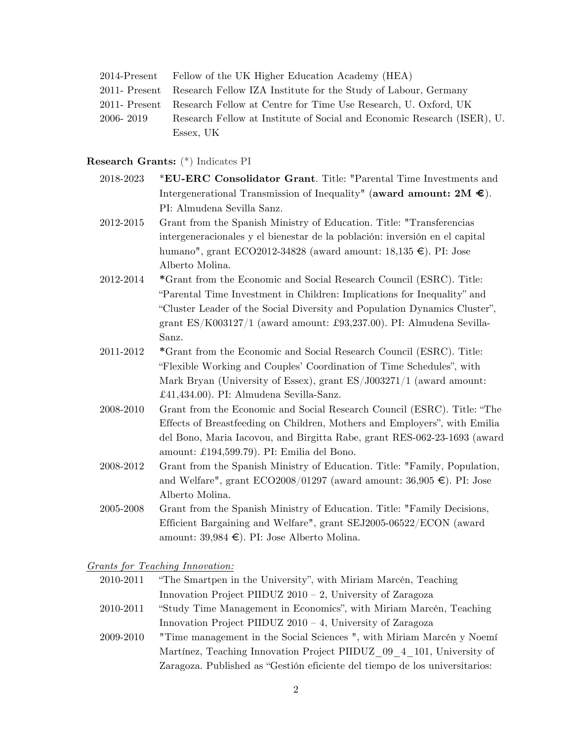|               | 2014-Present Fellow of the UK Higher Education Academy (HEA)                 |
|---------------|------------------------------------------------------------------------------|
|               | 2011- Present Research Fellow IZA Institute for the Study of Labour, Germany |
| 2011- Present | Research Fellow at Centre for Time Use Research, U. Oxford, UK               |
| 2006-2019     | Research Fellow at Institute of Social and Economic Research (ISER), U.      |
|               | Essex, UK                                                                    |

### **Research Grants:** (\*) Indicates PI

- 2018-2023 \***EU-ERC Consolidator Grant**. Title: "Parental Time Investments and Intergenerational Transmission of Inequality" (**award amount: 2M €**). PI: Almudena Sevilla Sanz.
- 2012-2015 Grant from the Spanish Ministry of Education. Title: "Transferencias intergeneracionales y el bienestar de la población: inversión en el capital humano", grant ECO2012-34828 (award amount:  $18,135 \in$ ). PI: Jose Alberto Molina.
- 2012-2014 **\***Grant from the Economic and Social Research Council (ESRC). Title: "Parental Time Investment in Children: Implications for Inequality" and "Cluster Leader of the Social Diversity and Population Dynamics Cluster", grant ES/K003127/1 (award amount: £93,237.00). PI: Almudena Sevilla-Sanz.
- 2011-2012 **\***Grant from the Economic and Social Research Council (ESRC). Title: "Flexible Working and Couples' Coordination of Time Schedules", with Mark Bryan (University of Essex), grant ES/J003271/1 (award amount: £41,434.00). PI: Almudena Sevilla-Sanz.
- 2008-2010 Grant from the Economic and Social Research Council (ESRC). Title: "The Effects of Breastfeeding on Children, Mothers and Employers", with Emilia del Bono, Maria Iacovou, and Birgitta Rabe, grant RES-062-23-1693 (award amount: £194,599.79). PI: Emilia del Bono.
- 2008-2012 Grant from the Spanish Ministry of Education. Title: "Family, Population, and Welfare", grant  $ECO2008/01297$  (award amount: 36,905  $\in$ ). PI: Jose Alberto Molina.
- 2005-2008 Grant from the Spanish Ministry of Education. Title: "Family Decisions, Efficient Bargaining and Welfare", grant SEJ2005-06522/ECON (award amount:  $39,984 \in$ ). PI: Jose Alberto Molina.

### *Grants for Teaching Innovation:*

- 2010-2011 "The Smartpen in the University", with Miriam Marcén, Teaching Innovation Project PIIDUZ 2010 – 2, University of Zaragoza
- 2010-2011 "Study Time Management in Economics", with Miriam Marcén, Teaching Innovation Project PIIDUZ 2010 – 4, University of Zaragoza
- 2009-2010 "Time management in the Social Sciences ", with Miriam Marcén y Noemí Martínez, Teaching Innovation Project PIIDUZ\_09\_4\_101, University of Zaragoza. Published as "Gestión eficiente del tiempo de los universitarios: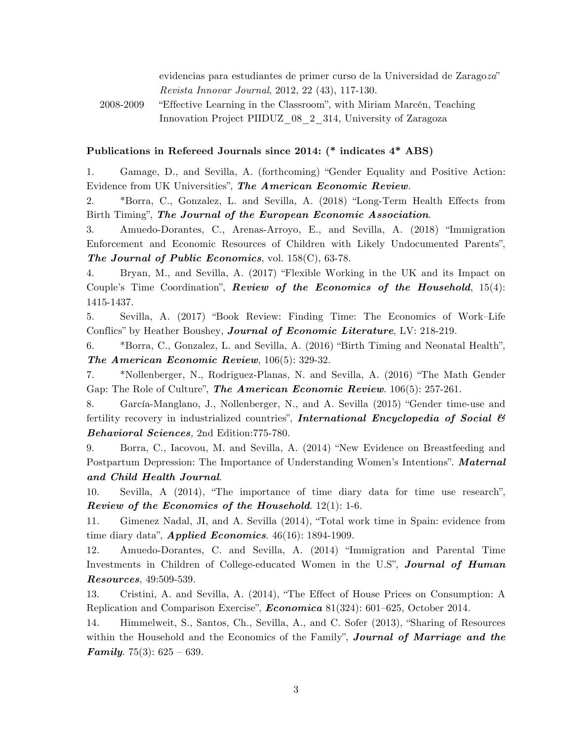evidencias para estudiantes de primer curso de la Universidad de Zarago*za*" *Revista Innovar Journal*, 2012, 22 (43), 117-130.

2008-2009 "Effective Learning in the Classroom", with Miriam Marcén, Teaching Innovation Project PIIDUZ\_08\_2\_314, University of Zaragoza

### **Publications in Refereed Journals since 2014: (\* indicates 4\* ABS)**

1. Gamage, D., and Sevilla, A. (forthcoming) "Gender Equality and Positive Action: Evidence from UK Universities", *The American Economic Review.*

2. \*Borra, C., Gonzalez, L. and Sevilla, A. (2018) "Long-Term Health Effects from Birth Timing", *The Journal of the European Economic Association*.

3. Amuedo-Dorantes, C., Arenas-Arroyo, E., and Sevilla, A. (2018) "Immigration Enforcement and Economic Resources of Children with Likely Undocumented Parents", *The Journal of Public Economics*, vol. 158(C), 63-78.

4. Bryan, M., and Sevilla, A. (2017) "Flexible Working in the UK and its Impact on Couple's Time Coordination", *Review of the Economics of the Household*, 15(4): 1415-1437.

5. Sevilla, A. (2017) "Book Review: Finding Time: The Economics of Work–Life Conflics" by Heather Boushey, *Journal of Economic Literature*, LV: 218-219.

6. \*Borra, C., Gonzalez, L. and Sevilla, A. (2016) "Birth Timing and Neonatal Health", *The American Economic Review*, 106(5): 329-32.

7. \*Nollenberger, N., Rodriguez-Planas, N. and Sevilla, A. (2016) "The Math Gender Gap: The Role of Culture", *The American Economic Review*. 106(5): 257-261.

8. García-Manglano, J., Nollenberger, N., and A. Sevilla (2015) "Gender time-use and fertility recovery in industrialized countries", *International Encyclopedia of Social & Behavioral Sciences,* 2nd Edition:775-780.

9. Borra, C., Iacovou, M. and Sevilla, A. (2014) "New Evidence on Breastfeeding and Postpartum Depression: The Importance of Understanding Women's Intentions". *Maternal and Child Health Journal*.

10. Sevilla, A (2014), "The importance of time diary data for time use research", *Review of the Economics of the Household*. 12(1): 1-6.

11. Gimenez Nadal, JI, and A. Sevilla (2014), "Total work time in Spain: evidence from time diary data", *Applied Economics*. 46(16): 1894-1909.

12. Amuedo-Dorantes, C. and Sevilla, A. (2014) "Immigration and Parental Time Investments in Children of College-educated Women in the U.S", *Journal of Human Resources*, 49:509-539.

13. Cristini, A. and Sevilla, A. (2014), "The Effect of House Prices on Consumption: A Replication and Comparison Exercise", *Economica* 81(324): 601–625, October 2014.

14. Himmelweit, S., Santos, Ch., Sevilla, A., and C. Sofer (2013), "Sharing of Resources within the Household and the Economics of the Family", *Journal of Marriage and the Family*. 75(3): 625 – 639.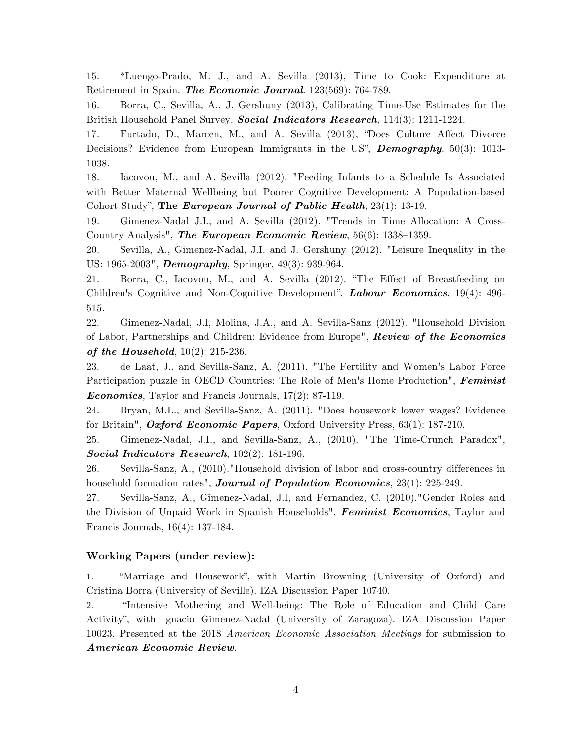15. \*Luengo-Prado, M. J., and A. Sevilla (2013), Time to Cook: Expenditure at Retirement in Spain. *The Economic Journal*. 123(569): 764-789.

16. Borra, C., Sevilla, A., J. Gershuny (2013), Calibrating Time-Use Estimates for the British Household Panel Survey. *Social Indicators Research*, 114(3): 1211-1224.

17. Furtado, D., Marcen, M., and A. Sevilla (2013), "Does Culture Affect Divorce Decisions? Evidence from European Immigrants in the US", *Demography*. 50(3): 1013- 1038.

18. Iacovou, M., and A. Sevilla (2012), "Feeding Infants to a Schedule Is Associated with Better Maternal Wellbeing but Poorer Cognitive Development: A Population-based Cohort Study", **The** *European Journal of Public Health*, 23(1): 13-19.

19. Gimenez-Nadal J.I., and A. Sevilla (2012). "Trends in Time Allocation: A Cross-Country Analysis", *The European Economic Review*, 56(6): 1338–1359.

20. Sevilla, A., Gimenez-Nadal, J.I. and J. Gershuny (2012). "Leisure Inequality in the US: 1965-2003", *Demography*, Springer, 49(3): 939-964.

21. Borra, C., Iacovou, M., and A. Sevilla (2012). "The Effect of Breastfeeding on Children's Cognitive and Non-Cognitive Development", *Labour Economics*, 19(4): 496- 515.

22. Gimenez-Nadal, J.I, Molina, J.A., and A. Sevilla-Sanz (2012). "Household Division of Labor, Partnerships and Children: Evidence from Europe", *Review of the Economics of the Household*, 10(2): 215-236.

23. de Laat, J., and Sevilla-Sanz, A. (2011). "The Fertility and Women's Labor Force Participation puzzle in OECD Countries: The Role of Men's Home Production", *Feminist Economics*, Taylor and Francis Journals, 17(2): 87-119.

24. Bryan, M.L., and Sevilla-Sanz, A. (2011). "Does housework lower wages? Evidence for Britain", *Oxford Economic Papers*, Oxford University Press, 63(1): 187-210.

25. Gimenez-Nadal, J.I., and Sevilla-Sanz, A., (2010). "The Time-Crunch Paradox", *Social Indicators Research*, 102(2): 181-196.

26. Sevilla-Sanz, A., (2010)."Household division of labor and cross-country differences in household formation rates", *Journal of Population Economics*, 23(1): 225-249.

27. Sevilla-Sanz, A., Gimenez-Nadal, J.I, and Fernandez, C. (2010)."Gender Roles and the Division of Unpaid Work in Spanish Households", *Feminist Economics*, Taylor and Francis Journals, 16(4): 137-184.

## **Working Papers (under review):**

1. "Marriage and Housework", with Martin Browning (University of Oxford) and Cristina Borra (University of Seville). IZA Discussion Paper 10740.

2. "Intensive Mothering and Well-being: The Role of Education and Child Care Activity", with Ignacio Gimenez-Nadal (University of Zaragoza). IZA Discussion Paper 10023. Presented at the 2018 *American Economic Association Meetings* for submission to *American Economic Review*.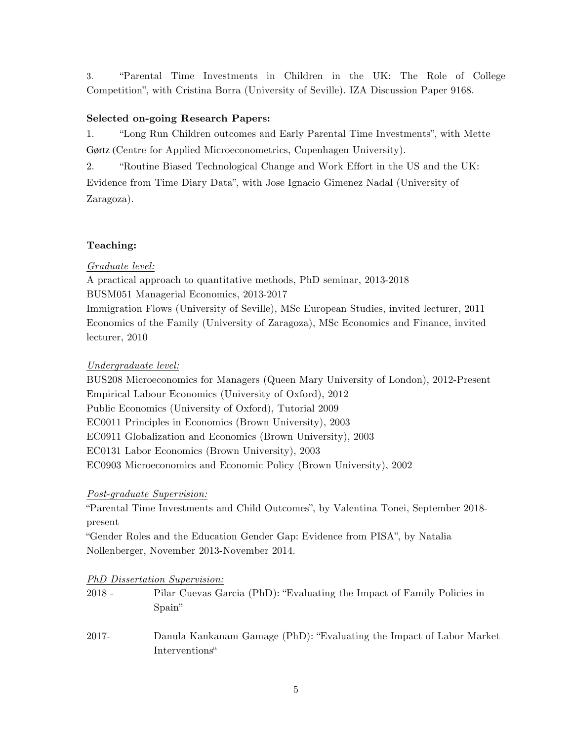3. "Parental Time Investments in Children in the UK: The Role of College Competition", with Cristina Borra (University of Seville). IZA Discussion Paper 9168.

## **Selected on-going Research Papers:**

1. "Long Run Children outcomes and Early Parental Time Investments", with Mette Gørtz (Centre for Applied Microeconometrics, Copenhagen University).

2. "Routine Biased Technological Change and Work Effort in the US and the UK: Evidence from Time Diary Data", with Jose Ignacio Gimenez Nadal (University of Zaragoza).

## **Teaching:**

## *Graduate level:*

A practical approach to quantitative methods, PhD seminar, 2013-2018 BUSM051 Managerial Economics, 2013-2017 Immigration Flows (University of Seville), MSc European Studies, invited lecturer, 2011 Economics of the Family (University of Zaragoza), MSc Economics and Finance, invited lecturer, 2010

## *Undergraduate level:*

BUS208 Microeconomics for Managers (Queen Mary University of London), 2012-Present Empirical Labour Economics (University of Oxford), 2012 Public Economics (University of Oxford), Tutorial 2009 EC0011 Principles in Economics (Brown University), 2003 EC0911 Globalization and Economics (Brown University), 2003 EC0131 Labor Economics (Brown University), 2003 EC0903 Microeconomics and Economic Policy (Brown University), 2002

## *Post-graduate Supervision:*

"Parental Time Investments and Child Outcomes", by Valentina Tonei, September 2018 present

"Gender Roles and the Education Gender Gap: Evidence from PISA", by Natalia Nollenberger, November 2013-November 2014.

## *PhD Dissertation Supervision:*

- 2018 Pilar Cuevas Garcia (PhD): "Evaluating the Impact of Family Policies in Spain"
- 2017- Danula Kankanam Gamage (PhD): "Evaluating the Impact of Labor Market Interventions"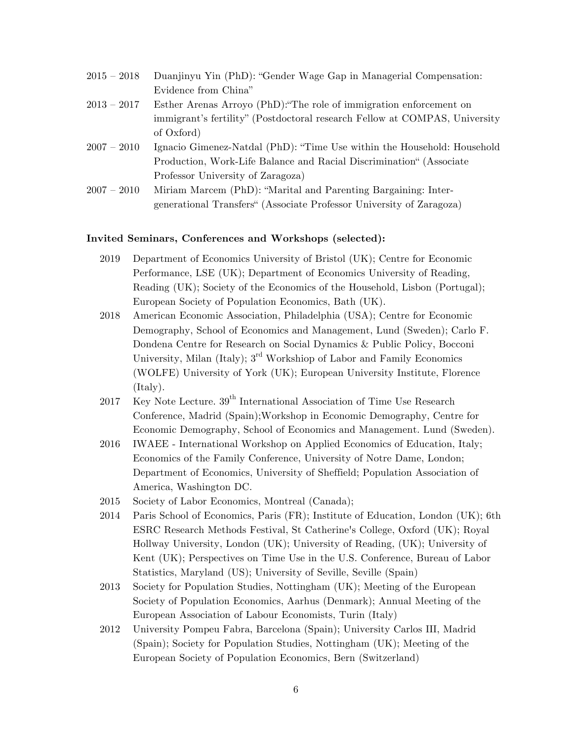| $2015 - 2018$ | Duanjinyu Yin (PhD): "Gender Wage Gap in Managerial Compensation:          |
|---------------|----------------------------------------------------------------------------|
|               | Evidence from China"                                                       |
| $2013 - 2017$ | Esther Arenas Arroyo (PhD): "The role of immigration enforcement on        |
|               | immigrant's fertility" (Postdoctoral research Fellow at COMPAS, University |
|               | of Oxford)                                                                 |
| $2007 - 2010$ | Ignacio Gimenez-Natdal (PhD): "Time Use within the Household: Household    |
|               | Production, Work-Life Balance and Racial Discrimination" (Associate        |
|               | Professor University of Zaragoza)                                          |
| $2007 - 2010$ | Miriam Marcem (PhD): "Marital and Parenting Bargaining: Inter-             |
|               | generational Transfers" (Associate Professor University of Zaragoza)       |

#### **Invited Seminars, Conferences and Workshops (selected):**

- 2019 Department of Economics University of Bristol (UK); Centre for Economic Performance, LSE (UK); Department of Economics University of Reading, Reading (UK); Society of the Economics of the Household, Lisbon (Portugal); European Society of Population Economics, Bath (UK).
- 2018 American Economic Association, Philadelphia (USA); Centre for Economic Demography, School of Economics and Management, Lund (Sweden); Carlo F. Dondena Centre for Research on Social Dynamics & Public Policy, Bocconi University, Milan (Italy);  $3^{\text{rd}}$  Workshiop of Labor and Family Economics (WOLFE) University of York (UK); European University Institute, Florence (Italy).
- 2017 Key Note Lecture.  $39<sup>th</sup>$  International Association of Time Use Research Conference, Madrid (Spain);Workshop in Economic Demography, Centre for Economic Demography, School of Economics and Management. Lund (Sweden).
- 2016 IWAEE International Workshop on Applied Economics of Education, Italy; Economics of the Family Conference, University of Notre Dame, London; Department of Economics, University of Sheffield; Population Association of America, Washington DC.
- 2015 Society of Labor Economics, Montreal (Canada);
- 2014 Paris School of Economics, Paris (FR); Institute of Education, London (UK); 6th ESRC Research Methods Festival, St Catherine's College, Oxford (UK); Royal Hollway University, London (UK); University of Reading, (UK); University of Kent (UK); Perspectives on Time Use in the U.S. Conference, Bureau of Labor Statistics, Maryland (US); University of Seville, Seville (Spain)
- 2013 Society for Population Studies, Nottingham (UK); Meeting of the European Society of Population Economics, Aarhus (Denmark); Annual Meeting of the European Association of Labour Economists, Turin (Italy)
- 2012 University Pompeu Fabra, Barcelona (Spain); University Carlos III, Madrid (Spain); Society for Population Studies, Nottingham (UK); Meeting of the European Society of Population Economics, Bern (Switzerland)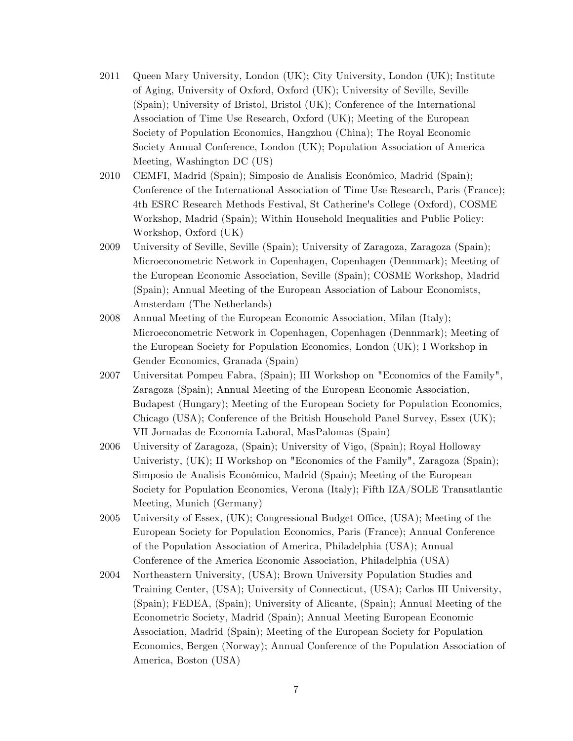- 2011 Queen Mary University, London (UK); City University, London (UK); Institute of Aging, University of Oxford, Oxford (UK); University of Seville, Seville (Spain); University of Bristol, Bristol (UK); Conference of the International Association of Time Use Research, Oxford (UK); Meeting of the European Society of Population Economics, Hangzhou (China); The Royal Economic Society Annual Conference, London (UK); Population Association of America Meeting, Washington DC (US)
- 2010 CEMFI, Madrid (Spain); Simposio de Analisis Económico, Madrid (Spain); Conference of the International Association of Time Use Research, Paris (France); 4th ESRC Research Methods Festival, St Catherine's College (Oxford), COSME Workshop, Madrid (Spain); Within Household Inequalities and Public Policy: Workshop, Oxford (UK)
- 2009 University of Seville, Seville (Spain); University of Zaragoza, Zaragoza (Spain); Microeconometric Network in Copenhagen, Copenhagen (Dennmark); Meeting of the European Economic Association, Seville (Spain); COSME Workshop, Madrid (Spain); Annual Meeting of the European Association of Labour Economists, Amsterdam (The Netherlands)
- 2008 Annual Meeting of the European Economic Association, Milan (Italy); Microeconometric Network in Copenhagen, Copenhagen (Dennmark); Meeting of the European Society for Population Economics, London (UK); I Workshop in Gender Economics, Granada (Spain)
- 2007 Universitat Pompeu Fabra, (Spain); III Workshop on "Economics of the Family", Zaragoza (Spain); Annual Meeting of the European Economic Association, Budapest (Hungary); Meeting of the European Society for Population Economics, Chicago (USA); Conference of the British Household Panel Survey, Essex (UK); VII Jornadas de Economía Laboral, MasPalomas (Spain)
- 2006 University of Zaragoza, (Spain); University of Vigo, (Spain); Royal Holloway Univeristy, (UK); II Workshop on "Economics of the Family", Zaragoza (Spain); Simposio de Analisis Económico, Madrid (Spain); Meeting of the European Society for Population Economics, Verona (Italy); Fifth IZA/SOLE Transatlantic Meeting, Munich (Germany)
- 2005 University of Essex, (UK); Congressional Budget Office, (USA); Meeting of the European Society for Population Economics, Paris (France); Annual Conference of the Population Association of America, Philadelphia (USA); Annual Conference of the America Economic Association, Philadelphia (USA)
- 2004 Northeastern University, (USA); Brown University Population Studies and Training Center, (USA); University of Connecticut, (USA); Carlos III University, (Spain); FEDEA, (Spain); University of Alicante, (Spain); Annual Meeting of the Econometric Society, Madrid (Spain); Annual Meeting European Economic Association, Madrid (Spain); Meeting of the European Society for Population Economics, Bergen (Norway); Annual Conference of the Population Association of America, Boston (USA)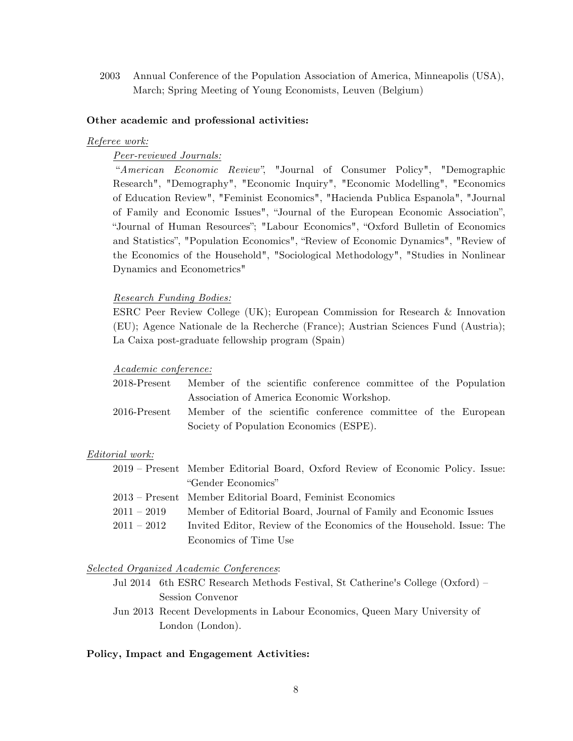2003 Annual Conference of the Population Association of America, Minneapolis (USA), March; Spring Meeting of Young Economists, Leuven (Belgium)

#### **Other academic and professional activities:**

#### *Referee work:*

## *Peer-reviewed Journals:*

"*American Economic Review"*, "Journal of Consumer Policy", "Demographic Research", "Demography", "Economic Inquiry", "Economic Modelling", "Economics of Education Review", "Feminist Economics", "Hacienda Publica Espanola", "Journal of Family and Economic Issues", "Journal of the European Economic Association", "Journal of Human Resources"; "Labour Economics", "Oxford Bulletin of Economics and Statistics", "Population Economics", "Review of Economic Dynamics", "Review of the Economics of the Household", "Sociological Methodology", "Studies in Nonlinear Dynamics and Econometrics"

### *Research Funding Bodies:*

ESRC Peer Review College (UK); European Commission for Research & Innovation (EU); Agence Nationale de la Recherche (France); Austrian Sciences Fund (Austria); La Caixa post-graduate fellowship program (Spain)

#### *Academic conference:*

| 2018-Present    | Member of the scientific conference committee of the Population |
|-----------------|-----------------------------------------------------------------|
|                 | Association of America Economic Workshop.                       |
| $2016$ -Present | Member of the scientific conference committee of the European   |
|                 | Society of Population Economics (ESPE).                         |

#### *Editorial work:*

|               | 2019 – Present Member Editorial Board, Oxford Review of Economic Policy. Issue: |
|---------------|---------------------------------------------------------------------------------|
|               | "Gender Economics"                                                              |
|               | 2013 – Present Member Editorial Board, Feminist Economics                       |
| $2011 - 2019$ | Member of Editorial Board, Journal of Family and Economic Issues                |
| $2011 - 2012$ | Invited Editor, Review of the Economics of the Household. Issue: The            |
|               | Economics of Time Use                                                           |

#### *Selected Organized Academic Conferences*:

- Jul 2014 6th ESRC Research Methods Festival, St Catherine's College (Oxford) Session Convenor
- Jun 2013 Recent Developments in Labour Economics, Queen Mary University of London (London).

#### **Policy, Impact and Engagement Activities:**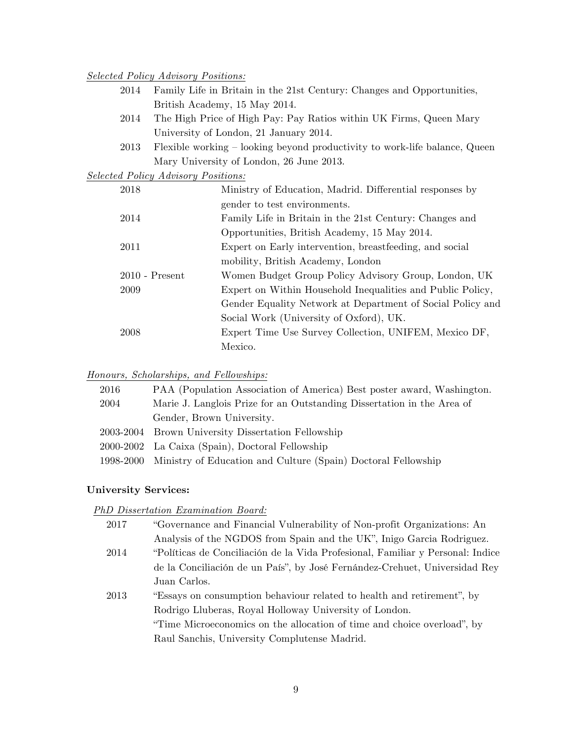## *Selected Policy Advisory Positions:*

- 2014 Family Life in Britain in the 21st Century: Changes and Opportunities, British Academy, 15 May 2014.
- 2014 The High Price of High Pay: Pay Ratios within UK Firms, Queen Mary University of London, 21 January 2014.
- 2013 Flexible working looking beyond productivity to work-life balance, Queen Mary University of London, 26 June 2013.

*Selected Policy Advisory Positions:*

| 2018             | Ministry of Education, Madrid. Differential responses by   |
|------------------|------------------------------------------------------------|
|                  | gender to test environments.                               |
| 2014             | Family Life in Britain in the 21st Century: Changes and    |
|                  | Opportunities, British Academy, 15 May 2014.               |
| 2011             | Expert on Early intervention, breastfeeding, and social    |
|                  | mobility, British Academy, London                          |
| $2010$ - Present | Women Budget Group Policy Advisory Group, London, UK       |
| 2009             | Expert on Within Household Inequalities and Public Policy, |
|                  | Gender Equality Network at Department of Social Policy and |
|                  | Social Work (University of Oxford), UK.                    |
| 2008             | Expert Time Use Survey Collection, UNIFEM, Mexico DF,      |
|                  | Mexico.                                                    |

### *Honours, Scholarships, and Fellowships:*

| 2016      | PAA (Population Association of America) Best poster award, Washington. |
|-----------|------------------------------------------------------------------------|
| 2004      | Marie J. Langlois Prize for an Outstanding Dissertation in the Area of |
|           | Gender, Brown University.                                              |
|           | 2003-2004 Brown University Dissertation Fellowship                     |
|           | 2000-2002 La Caixa (Spain), Doctoral Fellowship                        |
| 1998-2000 | Ministry of Education and Culture (Spain) Doctoral Fellowship          |

### **University Services:**

### *PhD Dissertation Examination Board:*

| 2017 | "Governance and Financial Vulnerability of Non-profit Organizations: An        |
|------|--------------------------------------------------------------------------------|
|      | Analysis of the NGDOS from Spain and the UK", Inigo Garcia Rodriguez.          |
| 2014 | "Políticas de Conciliación de la Vida Profesional, Familiar y Personal: Indice |
|      | de la Conciliación de un País", by José Fernández-Crehuet, Universidad Rey     |
|      | Juan Carlos.                                                                   |
| 2013 | "Essays on consumption behaviour related to health and retirement", by         |
|      | Rodrigo Lluberas, Royal Holloway University of London.                         |
|      | "Time Microeconomics on the allocation of time and choice overload", by        |
|      | Raul Sanchis, University Complutense Madrid.                                   |